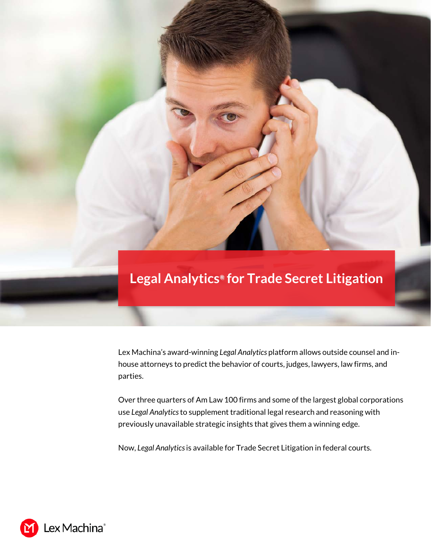## **Legal Analytics***®* **for Trade Secret Litigation**

Lex Machina's award-winning *Legal Analytics* platform allows outside counsel and inhouse attorneys to predict the behavior of courts, judges, lawyers, law firms, and parties.

Over three quarters of Am Law 100 firms and some of the largest global corporations use *Legal Analytics* to supplement traditional legal research and reasoning with previously unavailable strategic insights that gives them a winning edge.

Now, *Legal Analytics*is available for Trade Secret Litigation in federal courts.